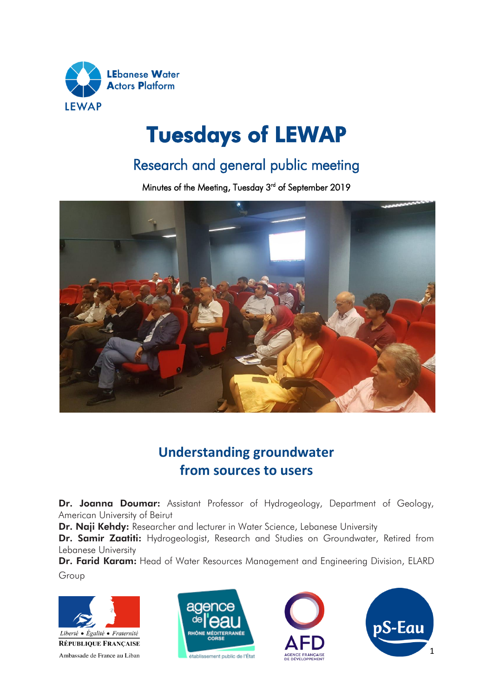

# Tuesdays of LEWAP

## Research and general public meeting

Minutes of the Meeting, Tuesday 3<sup>rd</sup> of September 2019



### **Understanding groundwater from sources to users**

Dr. Joanna Doumar: Assistant Professor of Hydrogeology, Department of Geology, American University of Beirut

Dr. Naji Kehdy: Researcher and lecturer in Water Science, Lebanese University

Dr. Samir Zaatiti: Hydrogeologist, Research and Studies on Groundwater, Retired from Lebanese University

Dr. Farid Karam: Head of Water Resources Management and Engineering Division, ELARD Group







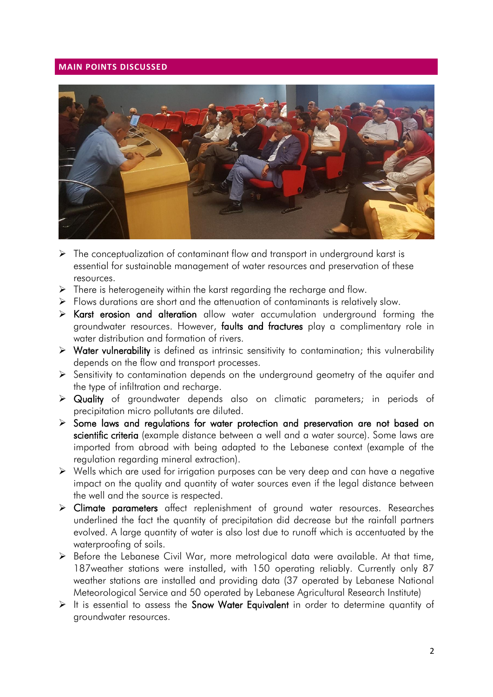#### **MAIN POINTS DISCUSSED**



- $\triangleright$  The conceptualization of contaminant flow and transport in underground karst is essential for sustainable management of water resources and preservation of these resources.
- $\triangleright$  There is heterogeneity within the karst regarding the recharge and flow.
- $\triangleright$  Flows durations are short and the attenuation of contaminants is relatively slow.
- Karst erosion and alteration allow water accumulation underground forming the groundwater resources. However, faults and fractures play a complimentary role in water distribution and formation of rivers.
- $\triangleright$  Water vulnerability is defined as intrinsic sensitivity to contamination; this vulnerability depends on the flow and transport processes.
- $\triangleright$  Sensitivity to contamination depends on the underground geometry of the aquifer and the type of infiltration and recharge.
- Quality of groundwater depends also on climatic parameters; in periods of precipitation micro pollutants are diluted.
- $\triangleright$  Some laws and regulations for water protection and preservation are not based on scientific criteria (example distance between a well and a water source). Some laws are imported from abroad with being adapted to the Lebanese context (example of the regulation regarding mineral extraction).
- Wells which are used for irrigation purposes can be very deep and can have a negative impact on the quality and quantity of water sources even if the legal distance between the well and the source is respected.
- Climate parameters affect replenishment of ground water resources. Researches underlined the fact the quantity of precipitation did decrease but the rainfall partners evolved. A large quantity of water is also lost due to runoff which is accentuated by the waterproofing of soils.
- Before the Lebanese Civil War, more metrological data were available. At that time, 187weather stations were installed, with 150 operating reliably. Currently only 87 weather stations are installed and providing data (37 operated by Lebanese National Meteorological Service and 50 operated by Lebanese Agricultural Research Institute)
- $\triangleright$  It is essential to assess the Snow Water Equivalent in order to determine quantity of groundwater resources.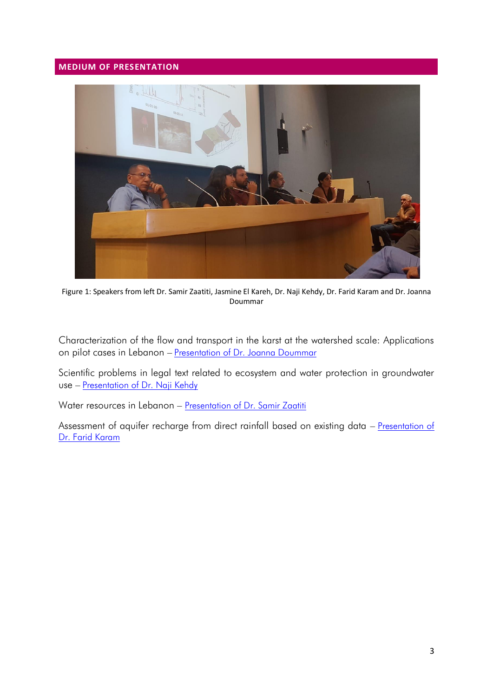### **MEDIUM OF PRESENTATION**



Figure 1: Speakers from left Dr. Samir Zaatiti, Jasmine El Kareh, Dr. Naji Kehdy, Dr. Farid Karam and Dr. Joanna Doummar

[Characterization of the flow and transport in the karst at the watershed scale: Applications](https://www.pseau.org/outils/ouvrages/aub_caracterisation_de_l_ecoulement_et_du_transport_dans_le_karst_a_l_echelle_du_bassin_versant_applications_sur_des_cas_pilotes_au_liban_2019.pdf)  on pilot cases in Lebanon - [Presentation of Dr. Joanna Doummar](https://www.pseau.org/outils/ouvrages/aub_caracterisation_de_l_ecoulement_et_du_transport_dans_le_karst_a_l_echelle_du_bassin_versant_applications_sur_des_cas_pilotes_au_liban_2019.pdf)

[Scientific problems in legal text related to ecosystem and water protection in groundwater](https://www.pseau.org/outils/ouvrages/universite_libanaise_1575_1604_1573_1588_1603_1575_1604_1610_1575_1578_1575_1604_1593_1604_1605_1610_1577_1601_1610_1575_1604_1606_1589_1608_1589_1575_1604_1602_1575_1606_1608_1606_1610_1577_1575_160_2019.pdf)  use – [Presentation of Dr. Naji Kehdy](https://www.pseau.org/outils/ouvrages/universite_libanaise_1575_1604_1573_1588_1603_1575_1604_1610_1575_1578_1575_1604_1593_1604_1605_1610_1577_1601_1610_1575_1604_1606_1589_1608_1589_1575_1604_1602_1575_1606_1608_1606_1610_1577_1575_160_2019.pdf) 

[Water resources in Lebanon](https://www.pseau.org/outils/ouvrages/universite_libanaise_1604_1605_1581_1577_1605_1608_1580_1586_1577_1593_1606_1608_1575_1602_1593_1575_1604_1605_1610_1575_1607_1575_1604_1580_1608_1601_1610_1577_1601_1610_1604_1576_1606_1575_1606_2019.pdf) – Presentation of Dr. Samir Zaatiti

[Assessment of aquifer recharge from direct rainfall based on existing data](https://www.pseau.org/outils/ouvrages/elard_assessment_of_aquifer_recharge_from_direct_rainfall_based_on_existing_data_2019.pdf) – Presentation of [Dr. Farid Karam](https://www.pseau.org/outils/ouvrages/elard_assessment_of_aquifer_recharge_from_direct_rainfall_based_on_existing_data_2019.pdf)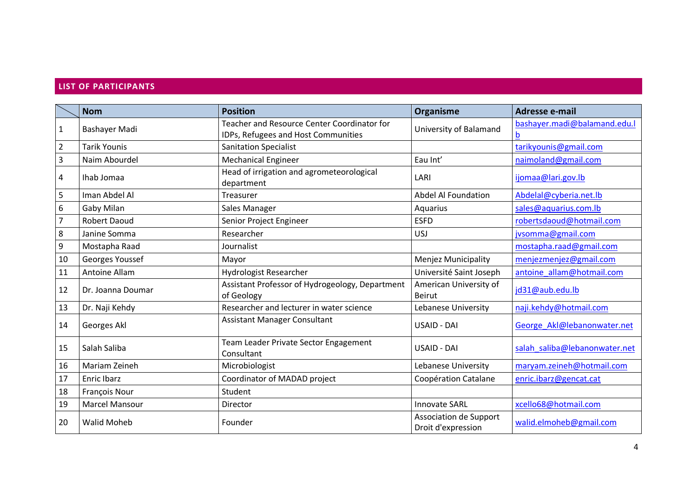#### **LIST OF PARTICIPANTS**

|                  | <b>Nom</b>            | <b>Position</b>                                                                    | Organisme                                    | Adresse e-mail                    |
|------------------|-----------------------|------------------------------------------------------------------------------------|----------------------------------------------|-----------------------------------|
| $\mathbf{1}$     | Bashayer Madi         | Teacher and Resource Center Coordinator for<br>IDPs, Refugees and Host Communities | University of Balamand                       | bashayer.madi@balamand.edu.l<br>b |
| $\overline{2}$   | <b>Tarik Younis</b>   | <b>Sanitation Specialist</b>                                                       |                                              | tarikyounis@gmail.com             |
| 3                | Naim Abourdel         | <b>Mechanical Engineer</b>                                                         | Eau Int'                                     | naimoland@gmail.com               |
| 4                | Ihab Jomaa            | Head of irrigation and agrometeorological<br>department                            | LARI                                         | ijomaa@lari.gov.lb                |
| 5                | Iman Abdel Al         | Treasurer                                                                          | <b>Abdel Al Foundation</b>                   | Abdelal@cyberia.net.lb            |
| 6                | Gaby Milan            | Sales Manager                                                                      | Aquarius                                     | sales@aquarius.com.lb             |
| $\overline{7}$   | <b>Robert Daoud</b>   | Senior Project Engineer                                                            | <b>ESFD</b>                                  | robertsdaoud@hotmail.com          |
| $\,8\,$          | Janine Somma          | Researcher                                                                         | USJ                                          | jvsomma@gmail.com                 |
| $\boldsymbol{9}$ | Mostapha Raad         | Journalist                                                                         |                                              | mostapha.raad@gmail.com           |
| 10               | Georges Youssef       | Mayor                                                                              | <b>Menjez Municipality</b>                   | menjezmenjez@gmail.com            |
| 11               | Antoine Allam         | <b>Hydrologist Researcher</b>                                                      | Université Saint Joseph                      | antoine allam@hotmail.com         |
| 12               | Dr. Joanna Doumar     | Assistant Professor of Hydrogeology, Department<br>of Geology                      | American University of<br>Beirut             | jd31@aub.edu.lb                   |
| 13               | Dr. Naji Kehdy        | Researcher and lecturer in water science                                           | Lebanese University                          | naji.kehdy@hotmail.com            |
| 14               | Georges Akl           | <b>Assistant Manager Consultant</b>                                                | <b>USAID - DAI</b>                           | George Akl@lebanonwater.net       |
| 15               | Salah Saliba          | Team Leader Private Sector Engagement<br>Consultant                                | USAID - DAI                                  | salah saliba@lebanonwater.net     |
| 16               | Mariam Zeineh         | Microbiologist                                                                     | Lebanese University                          | maryam.zeineh@hotmail.com         |
| 17               | <b>Enric Ibarz</b>    | Coordinator of MADAD project                                                       | Coopération Catalane                         | enric.ibarz@gencat.cat            |
| 18               | <b>François Nour</b>  | Student                                                                            |                                              |                                   |
| 19               | <b>Marcel Mansour</b> | Director                                                                           | <b>Innovate SARL</b>                         | xcello68@hotmail.com              |
| 20               | <b>Walid Moheb</b>    | Founder                                                                            | Association de Support<br>Droit d'expression | walid.elmoheb@gmail.com           |